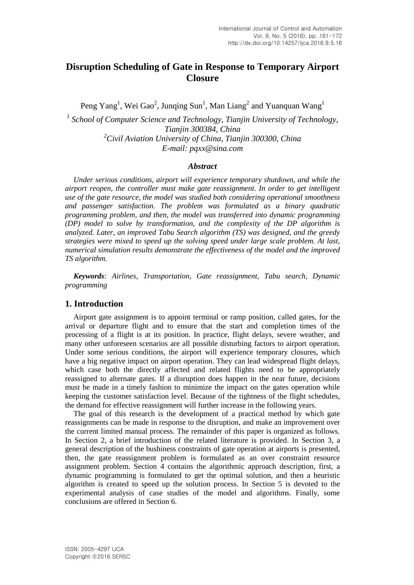# **Disruption Scheduling of Gate in Response to Temporary Airport Closure**

Peng Yang<sup>1</sup>, Wei Gao<sup>2</sup>, Junqing Sun<sup>1</sup>, Man Liang<sup>2</sup> and Yuanquan Wang<sup>1</sup>

<sup>1</sup> School of Computer Science and Technology, Tianjin University of Technology, *Tianjin 300384, China <sup>2</sup>Civil Aviation University of China, Tianjin 300300, China E-mail: pqxx@sina.com* 

#### *Abstract*

*Under serious conditions, airport will experience temporary shutdown, and while the airport reopen, the controller must make gate reassignment. In order to get intelligent use of the gate resource, the model was studied both considering operational smoothness and passenger satisfaction. The problem was formulated as a binary quadratic programming problem, and then, the model was transferred into dynamic programming (DP) model to solve by transformation, and the complexity of the DP algorithm is analyzed. Later, an improved Tabu Search algorithm (TS) was designed, and the greedy strategies were mixed to speed up the solving speed under large scale problem. At last, numerical simulation results demonstrate the effectiveness of the model and the improved TS algorithm.*

*Keywords: Airlines, Transportation, Gate reassignment, Tabu search, Dynamic programming*

### **1. Introduction**

Airport gate assignment is to appoint terminal or ramp position, called gates, for the arrival or departure flight and to ensure that the start and completion times of the processing of a flight is at its position. In practice, flight delays, severe weather, and many other unforeseen scenarios are all possible disturbing factors to airport operation. Under some serious conditions, the airport will experience temporary closures, which have a big negative impact on airport operation. They can lead widespread flight delays, which case both the directly affected and related flights need to be appropriately reassigned to alternate gates. If a disruption does happen in the near future, decisions must be made in a timely fashion to minimize the impact on the gates operation while keeping the customer satisfaction level. Because of the tightness of the flight schedules, the demand for effective reassignment will further increase in the following years.

The goal of this research is the development of a practical method by which gate reassignments can be made in response to the disruption, and make an improvement over the current limited manual process. The remainder of this paper is organized as follows. In Section 2, a brief introduction of the related literature is provided. In Section 3, a general description of the bushiness constraints of gate operation at airports is presented, then, the gate reassignment problem is formulated as an over constraint resource assignment problem. Section 4 contains the algorithmic approach description, first, a dynamic programming is formulated to get the optimal solution, and then a heuristic algorithm is created to speed up the solution process. In Section 5 is devoted to the experimental analysis of case studies of the model and algorithms. Finally, some conclusions are offered in Section 6.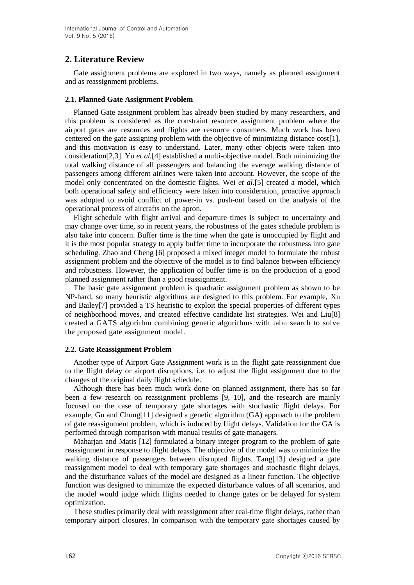## **2. Literature Review**

Gate assignment problems are explored in two ways, namely as planned assignment and as reassignment problems.

### **2.1. Planned Gate Assignment Problem**

Planned Gate assignment problem has already been studied by many researchers, and this problem is considered as the constraint resource assignment problem where the airport gates are resources and flights are resource consumers. Much work has been centered on the gate assigning problem with the objective of minimizing distance  $\text{cost}[1]$ , and this motivation is easy to understand. Later, many other objects were taken into consideration[2,3]. Yu *et al.*[4] established a multi-objective model. Both minimizing the total walking distance of all passengers and balancing the average walking distance of passengers among different airlines were taken into account. However, the scope of the model only concentrated on the domestic flights. Wei *et al.*[5] created a model, which both operational safety and efficiency were taken into consideration, proactive approach was adopted to avoid conflict of power-in vs. push-out based on the analysis of the operational process of aircrafts on the apron.

Flight schedule with flight arrival and departure times is subject to uncertainty and may change over time, so in recent years, the robustness of the gates schedule problem is also take into concern. Buffer time is the time when the gate is unoccupied by flight and it is the most popular strategy to apply buffer time to incorporate the robustness into gate scheduling. Zhao and Cheng [6] proposed a mixed integer model to formulate the robust assignment problem and the objective of the model is to find balance between efficiency and robustness. However, the application of buffer time is on the production of a good planned assignment rather than a good reassignment.

The basic gate assignment problem is quadratic assignment problem as shown to be NP-hard, so many heuristic algorithms are designed to this problem. For example, Xu and Bailey[7] provided a TS heuristic to exploit the special properties of different types of neighborhood moves, and created effective candidate list strategies. Wei and Liu[8] created a GATS algorithm combining genetic algorithms with tabu search to solve the proposed gate assignment model.

### **2.2. Gate Reassignment Problem**

Another type of Airport Gate Assignment work is in the flight gate reassignment due to the flight delay or airport disruptions, i.e. to adjust the flight assignment due to the changes of the original daily flight schedule.

Although there has been much work done on planned assignment, there has so far been a few research on reassignment problems [9, 10], and the research are mainly focused on the case of temporary gate shortages with stochastic flight delays. For example, Gu and Chung[11] designed a genetic algorithm (GA) approach to the problem of gate reassignment problem, which is induced by flight delays. Validation for the GA is performed through comparison with manual results of gate managers.

Maharjan and Matis [12] formulated a binary integer program to the problem of gate reassignment in response to flight delays. The objective of the model was to minimize the walking distance of passengers between disrupted flights. Tang[13] designed a gate reassignment model to deal with temporary gate shortages and stochastic flight delays, and the disturbance values of the model are designed as a linear function. The objective function was designed to minimize the expected disturbance values of all scenarios, and the model would judge which flights needed to change gates or be delayed for system optimization.

These studies primarily deal with reassignment after real-time flight delays, rather than temporary airport closures. In comparison with the temporary gate shortages caused by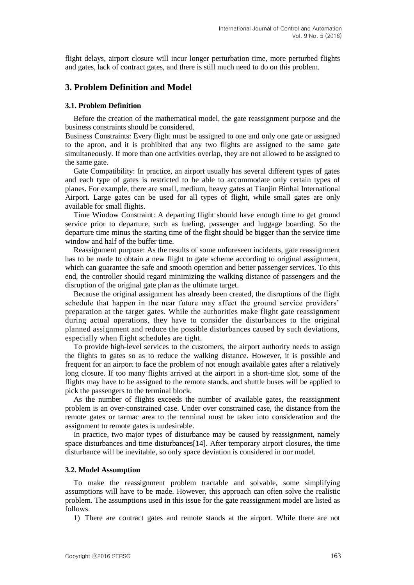flight delays, airport closure will incur longer perturbation time, more perturbed flights and gates, lack of contract gates, and there is still much need to do on this problem.

## **3. Problem Definition and Model**

#### **3.1. Problem Definition**

Before the creation of the mathematical model, the gate reassignment purpose and the business constraints should be considered.

Business Constraints: Every flight must be assigned to one and only one gate or assigned to the apron, and it is prohibited that any two flights are assigned to the same gate simultaneously. If more than one activities overlap, they are not allowed to be assigned to the same gate.

Gate Compatibility: In practice, an airport usually has several different types of gates and each type of gates is restricted to be able to accommodate only certain types of planes. For example, there are small, medium, heavy gates at Tianjin Binhai International Airport. Large gates can be used for all types of flight, while small gates are only available for small flights.

Time Window Constraint: A departing flight should have enough time to get ground service prior to departure, such as fueling, passenger and luggage boarding. So the departure time minus the starting time of the flight should be bigger than the service time window and half of the buffer time.

Reassignment purpose: As the results of some unforeseen incidents, gate reassignment has to be made to obtain a new flight to gate scheme according to original assignment, which can guarantee the safe and smooth operation and better passenger services. To this end, the controller should regard minimizing the walking distance of passengers and the disruption of the original gate plan as the ultimate target.

Because the original assignment has already been created, the disruptions of the flight schedule that happen in the near future may affect the ground service providers' preparation at the target gates. While the authorities make flight gate reassignment during actual operations, they have to consider the disturbances to the original planned assignment and reduce the possible disturbances caused by such deviations, especially when flight schedules are tight.

To provide high-level services to the customers, the airport authority needs to assign the flights to gates so as to reduce the walking distance. However, it is possible and frequent for an airport to face the problem of not enough available gates after a relatively long closure. If too many flights arrived at the airport in a short-time slot, some of the flights may have to be assigned to the remote stands, and shuttle buses will be applied to pick the passengers to the terminal block.

As the number of flights exceeds the number of available gates, the reassignment problem is an over-constrained case. Under over constrained case, the distance from the remote gates or tarmac area to the terminal must be taken into consideration and the assignment to remote gates is undesirable.

In practice, two major types of disturbance may be caused by reassignment, namely space disturbances and time disturbances $[14]$ . After temporary airport closures, the time disturbance will be inevitable, so only space deviation is considered in our model.

#### **3.2. Model Assumption**

To make the reassignment problem tractable and solvable, some simplifying assumptions will have to be made. However, this approach can often solve the realistic problem. The assumptions used in this issue for the gate reassignment model are listed as follows.

1) There are contract gates and remote stands at the airport. While there are not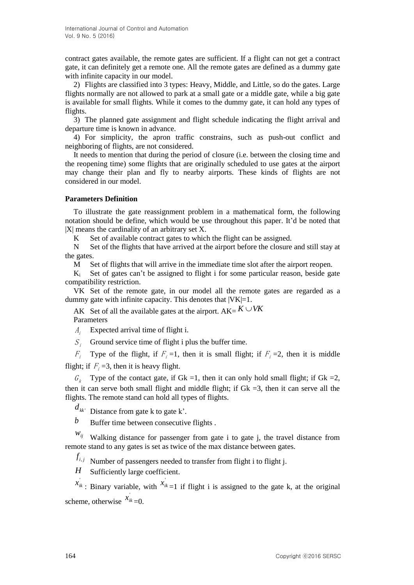contract gates available, the remote gates are sufficient. If a flight can not get a contract gate, it can definitely get a remote one. All the remote gates are defined as a dummy gate with infinite capacity in our model.

2) Flights are classified into 3 types: Heavy, Middle, and Little, so do the gates. Large flights normally are not allowed to park at a small gate or a middle gate, while a big gate is available for small flights. While it comes to the dummy gate, it can hold any types of flights.

3) The planned gate assignment and flight schedule indicating the flight arrival and departure time is known in advance.

4) For simplicity, the apron traffic constrains, such as push-out conflict and neighboring of flights, are not considered.

It needs to mention that during the period of closure (i.e. between the closing time and the reopening time) some flights that are originally scheduled to use gates at the airport may change their plan and fly to nearby airports. These kinds of flights are not considered in our model.

## **Parameters Definition**

To illustrate the gate reassignment problem in a mathematical form, the following notation should be define, which would be use throughout this paper. It'd be noted that |X| means the cardinality of an arbitrary set X.

K Set of available contract gates to which the flight can be assigned.

N Set of the flights that have arrived at the airport before the closure and still stay at the gates.

M Set of flights that will arrive in the immediate time slot after the airport reopen.

 $K_i$  Set of gates can't be assigned to flight i for some particular reason, beside gate compatibility restriction.

VK Set of the remote gate, in our model all the remote gates are regarded as a dummy gate with infinite capacity. This denotes that  $|VK|=1$ .

AK Set of all the available gates at the airport.  $AK = K \cup VK$ Parameters

 $A_i$ Expected arrival time of flight i.

 $S_i$  Ground service time of flight i plus the buffer time.

 $F_i$  Type of the flight, if  $F_i = 1$ , then it is small flight; if  $F_i = 2$ , then it is middle flight; if  $F_i = 3$ , then it is heavy flight.

 $G_k$  Type of the contact gate, if Gk =1, then it can only hold small flight; if Gk =2, then it can serve both small flight and middle flight; if  $Gk = 3$ , then it can serve all the flights. The remote stand can hold all types of flights.

 $d_{kk'}$  Distance from gate k to gate k'.

*b* Buffer time between consecutive flights .

 $w_{ij}$  Walking distance for passenger from gate i to gate j, the travel distance from remote stand to any gates is set as twice of the max distance between gates.

 $f_{i,j}$  Number of passengers needed to transfer from flight i to flight j.

*H* Sufficiently large coefficient.

 $x_{ik}$ : Binary variable, with  $x_{ik}$  =1 if flight i is assigned to the gate k, at the original scheme, otherwise  $x_{ik} = 0$ .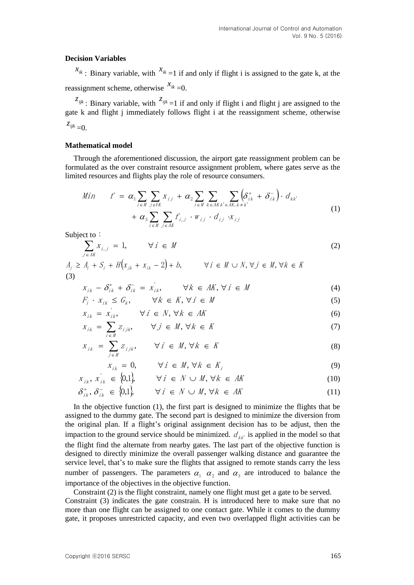#### **Decision Variables**

 $x_{ik}$ : Binary variable, with  $x_{ik} = 1$  if and only if flight i is assigned to the gate k, at the reassignment scheme, otherwise  $x_{ik} = 0$ .

 $z_{ijk}$ : Binary variable, with  $z_{ijk} = 1$  if and only if flight i and flight j are assigned to the gate k and flight j immediately follows flight i at the reassignment scheme, otherwise  $z_{ijk} = 0.$ 

### **Mathematical model**

Through the aforementioned discussion, the airport gate reassignment problem can be formulated as the over constraint resource assignment problem, where gates serve as the limited resources and flights play the role of resource consumers.

$$
Min \t f = \alpha_1 \sum_{i \in M} \sum_{j \in VK} x_{ij} + \alpha_2 \sum_{i \in M} \sum_{k \in AK} \sum_{k \in AK, k \neq k'} \left( \delta_{ik}^+ + \delta_{ik}^- \right) \cdot d_{kk'} + \alpha_3 \sum_{i \in M} \sum_{j \in AK} f_{i,j} \cdot w_{ij} \cdot d_{ij} \cdot x_{ij}
$$
\n(1)

Subject to:

$$
\sum_{j \in AK} X_{i,j} = 1, \qquad \forall j \in M
$$
 (2)

A $\sum_{j \in AK} I_{i,j}$ <br>  $A_j \ge A_j + S_j + H(x_{jk} + x_{ik} - 2) + b,$   $\forall i \in M \cup N, \forall j \in M, \forall k \in K$ (3)

$$
X_{ik} - \delta_{ik}^+ + \delta_{ik}^- = X_{ik}^-, \qquad \forall k \in AK, \forall i \in M
$$
\n(4)

$$
F_i \cdot x_{ik} \le G_k, \qquad \forall k \in K, \forall i \in M \tag{5}
$$

$$
x_{ik} = x_{ik}, \qquad \forall i \in N, \forall k \in AK
$$
 (6)

$$
x_{ik} = \sum_{i \in M} z_{ijk}, \qquad \forall j \in M, \forall k \in K
$$
 (7)

$$
X_{ik} = \sum_{j \in M} Z_{ijk}, \qquad \forall i \in M, \forall k \in K
$$
 (8)

$$
x_{ik} = 0, \qquad \forall i \in M, \forall k \in K_i
$$
 (9)

$$
X_{ik}, X_{ik} \in \{0,1\}, \qquad \forall i \in N \cup M, \forall k \in AK \tag{10}
$$

$$
\delta_{ik}^{+}, \delta_{ik}^{-} \in \{0,1\}, \qquad \forall i \in \mathbb{N} \cup \mathbb{M}, \forall k \in \mathbb{M} \tag{11}
$$

In the objective function (1), the first part is designed to minimize the flights that be assigned to the dummy gate. The second part is designed to minimize the diversion from the original plan. If a flight's original assignment decision has to be adjust, then the impaction to the ground service should be minimized.  $d_{kk}$  is applied in the model so that the flight find the alternate from nearby gates. The last part of the objective function is designed to directly minimize the overall passenger walking distance and guarantee the service level, that's to make sure the flights that assigned to remote stands carry the less number of passengers. The parameters  $\alpha_1$   $\alpha_2$  and  $\alpha_3$  are introduced to balance the importance of the objectives in the objective function.

Constraint (2) is the flight constraint, namely one flight must get a gate to be served. Constraint (3) indicates the gate constrain. H is introduced here to make sure that no more than one flight can be assigned to one contact gate. While it comes to the dummy gate, it proposes unrestricted capacity, and even two overlapped flight activities can be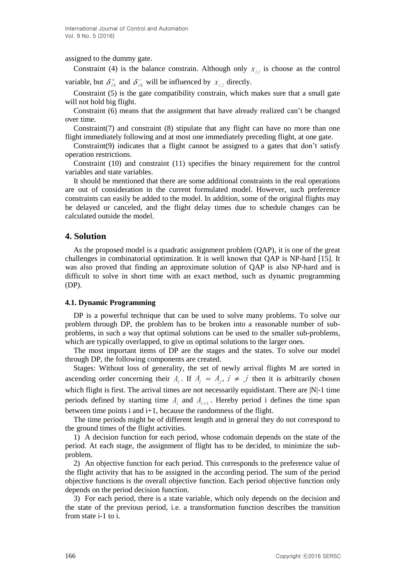assigned to the dummy gate.

Constraint (4) is the balance constrain. Although only  $x_{i,j}$  is choose as the control

variable, but  $\delta_{ik}^+$  and  $\delta_{ik}^-$  will be influenced by  $x_{ij}$  directly.

Constraint (5) is the gate compatibility constrain, which makes sure that a small gate will not hold big flight.

Constraint (6) means that the assignment that have already realized can't be changed over time.

Constraint(7) and constraint (8) stipulate that any flight can have no more than one flight immediately following and at most one immediately preceding flight, at one gate.

Constraint(9) indicates that a flight cannot be assigned to a gates that don't satisfy operation restrictions.

Constraint (10) and constraint (11) specifies the binary requirement for the control variables and state variables.

It should be mentioned that there are some additional constraints in the real operations are out of consideration in the current formulated model. However, such preference constraints can easily be added to the model. In addition, some of the original flights may be delayed or canceled, and the flight delay times due to schedule changes can be calculated outside the model.

## **4. Solution**

As the proposed model is a quadratic assignment problem (QAP), it is one of the great challenges in combinatorial optimization. It is well known that QAP is NP-hard [15]. It was also proved that finding an approximate solution of QAP is also NP-hard and is difficult to solve in short time with an exact method, such as dynamic programming (DP).

#### **4.1. Dynamic Programming**

DP is a powerful technique that can be used to solve many problems. To solve our problem through DP, the problem has to be broken into a reasonable number of subproblems, in such a way that optimal solutions can be used to the smaller sub-problems, which are typically overlapped, to give us optimal solutions to the larger ones.

The most important items of DP are the stages and the states. To solve our model through DP, the following components are created.

Stages: Without loss of generality, the set of newly arrival flights M are sorted in ascending order concerning their  $A_i$ . If  $A_i = A_j$ ,  $i \neq j$  then it is arbitrarily chosen which flight is first. The arrival times are not necessarily equidistant. There are  $|N|-1$  time periods defined by starting time  $A_i$  and  $A_{i+1}$ . Hereby period i defines the time span between time points i and i+1, because the randomness of the flight.

The time periods might be of different length and in general they do not correspond to the ground times of the flight activities.

1) A decision function for each period, whose codomain depends on the state of the period. At each stage, the assignment of flight has to be decided, to minimize the subproblem.

2) An objective function for each period. This corresponds to the preference value of the flight activity that has to be assigned in the according period. The sum of the period objective functions is the overall objective function. Each period objective function only depends on the period decision function.

3) For each period, there is a state variable, which only depends on the decision and the state of the previous period, i.e. a transformation function describes the transition from state i-1 to i.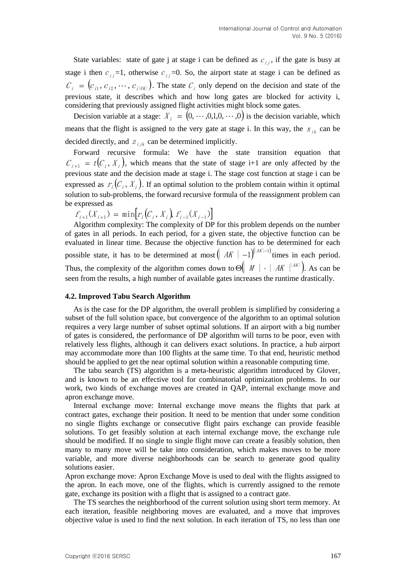State variables: state of gate j at stage i can be defined as  $c_{i,j}$ , if the gate is busy at stage i then  $c_{ij}$ =1, otherwise  $c_{ij}$ =0. So, the airport state at stage i can be defined as  $C_i = (c_{i1}, c_{i2}, \cdots, c_{i|VK|})$ . The state  $C_i$  only depend on the decision and state of the previous state, it describes which and how long gates are blocked for activity i, considering that previously assigned flight activities might block some gates.

Decision variable at a stage:  $X_i = (0, \dots, 0, 1, 0, \dots, 0)$  is the decision variable, which means that the flight is assigned to the very gate at stage i. In this way, the  $x_{ik}$  can be decided directly, and  $z_{ijk}$  can be determined implicitly.

Forward recursive formula: We have the state transition equation that  $C_{i+1} = t(C_i, X_i)$ , which means that the state of stage i+1 are only affected by the previous state and the decision made at stage i. The stage cost function at stage i can be expressed as  $r_i(C_i, X_i)$ . If an optimal solution to the problem contain within it optimal solution to sub-problems, the forward recursive formula of the reassignment problem can be expressed as

 $f_{i+1}(X_{i+1}) = \min [r_i(C_i, X_i) f_{i-1}(X_{i-1})]$ 

Algorithm complexity: The complexity of DP for this problem depends on the number of gates in all periods. In each period, for a given state, the objective function can be evaluated in linear time. Because the objective function has to be determined for each possible state, it has to be determined at most  $\left( |AK| - 1 \right)^{(|AK|-1)}$  times in each period. Thus, the complexity of the algorithm comes down to  $\Theta \left( \mid M \mid \cdot \mid AK \mid^{|AK|} \right)$ . As can be seen from the results, a high number of available gates increases the runtime drastically.

### **4.2. Improved Tabu Search Algorithm**

As is the case for the DP algorithm, the overall problem is simplified by considering a subset of the full solution space, but convergence of the algorithm to an optimal solution requires a very large number of subset optimal solutions. If an airport with a big number of gates is considered, the performance of DP algorithm will turns to be poor, even with relatively less flights, although it can delivers exact solutions. In practice, a hub airport may accommodate more than 100 flights at the same time. To that end, heuristic method should be applied to get the near optimal solution within a reasonable computing time.

The tabu search (TS) algorithm is a meta-heuristic algorithm introduced by Glover, and is known to be an effective tool for combinatorial optimization problems. In our work, two kinds of exchange moves are created in QAP, internal exchange move and apron exchange move.

Internal exchange move: Internal exchange move means the flights that park at contract gates, exchange their position. It need to be mention that under some condition no single flights exchange or consecutive flight pairs exchange can provide feasible solutions. To get feasibly solution at each internal exchange move, the exchange rule should be modified. If no single to single flight move can create a feasibly solution, then many to many move will be take into consideration, which makes moves to be more variable, and more diverse neighborhoods can be search to generate good quality solutions easier.

Apron exchange move: Apron Exchange Move is used to deal with the flights assigned to the apron. In each move, one of the flights, which is currently assigned to the remote gate, exchange its position with a flight that is assigned to a contract gate.

The TS searches the neighborhood of the current solution using short term memory. At each iteration, feasible neighboring moves are evaluated, and a move that improves objective value is used to find the next solution. In each iteration of TS, no less than one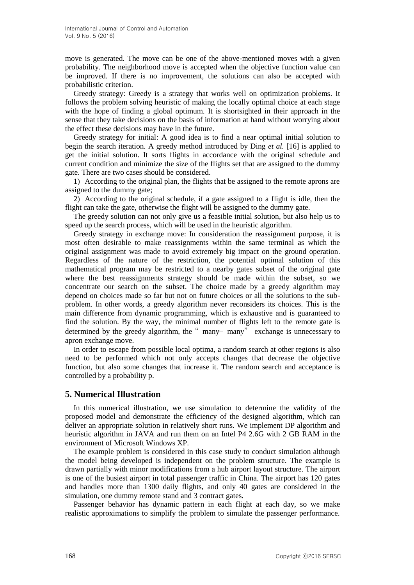move is generated. The move can be one of the above-mentioned moves with a given probability. The neighborhood move is accepted when the objective function value can be improved. If there is no improvement, the solutions can also be accepted with probabilistic criterion.

Greedy strategy: Greedy is a strategy that works well on optimization problems. It follows the problem solving heuristic of making the locally optimal choice at each stage with the hope of finding a global optimum. It is shortsighted in their approach in the sense that they take decisions on the basis of information at hand without worrying about the effect these decisions may have in the future.

Greedy strategy for initial: A good idea is to find a near optimal initial solution to begin the search iteration. A greedy method introduced by Ding *et al.* [16] is applied to get the initial solution. It sorts flights in accordance with the original schedule and current condition and minimize the size of the flights set that are assigned to the dummy gate. There are two cases should be considered.

1) According to the original plan, the flights that be assigned to the remote aprons are assigned to the dummy gate;

2) According to the original schedule, if a gate assigned to a flight is idle, then the flight can take the gate, otherwise the flight will be assigned to the dummy gate.

The greedy solution can not only give us a feasible initial solution, but also help us to speed up the search process, which will be used in the heuristic algorithm.

Greedy strategy in exchange move: In consideration the reassignment purpose, it is most often desirable to make reassignments within the same terminal as which the original assignment was made to avoid extremely big impact on the ground operation. Regardless of the nature of the restriction, the potential optimal solution of this mathematical program may be restricted to a nearby gates subset of the original gate where the best reassignments strategy should be made within the subset, so we concentrate our search on the subset. The choice made by a greedy algorithm may depend on choices made so far but not on future choices or all the solutions to the subproblem. In other words, a greedy algorithm never reconsiders its choices. This is the main difference from dynamic programming, which is exhaustive and is guaranteed to find the solution. By the way, the minimal number of flights left to the remote gate is determined by the greedy algorithm, the " many– many" exchange is unnecessary to apron exchange move.

In order to escape from possible local optima, a random search at other regions is also need to be performed which not only accepts changes that decrease the objective function, but also some changes that increase it. The random search and acceptance is controlled by a probability p.

## **5. Numerical Illustration**

In this numerical illustration, we use simulation to determine the validity of the proposed model and demonstrate the efficiency of the designed algorithm, which can deliver an appropriate solution in relatively short runs. We implement DP algorithm and heuristic algorithm in JAVA and run them on an Intel P4 2.6G with 2 GB RAM in the environment of Microsoft Windows XP.

The example problem is considered in this case study to conduct simulation although the model being developed is independent on the problem structure. The example is drawn partially with minor modifications from a hub airport layout structure. The airport is one of the busiest airport in total passenger traffic in China. The airport has 120 gates and handles more than 1300 daily flights, and only 40 gates are considered in the simulation, one dummy remote stand and 3 contract gates.

Passenger behavior has dynamic pattern in each flight at each day, so we make realistic approximations to simplify the problem to simulate the passenger performance.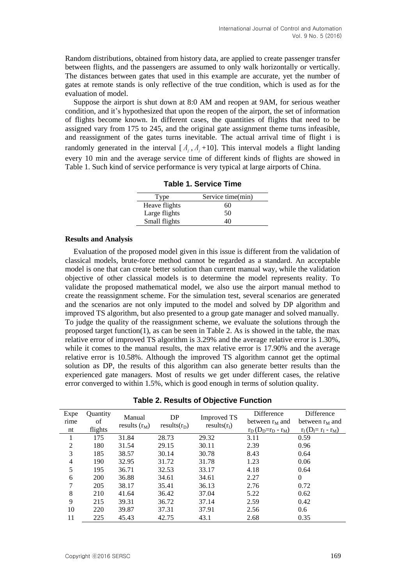Random distributions, obtained from history data, are applied to create passenger transfer between flights, and the passengers are assumed to only walk horizontally or vertically. The distances between gates that used in this example are accurate, yet the number of gates at remote stands is only reflective of the true condition, which is used as for the evaluation of model.

Suppose the airport is shut down at 8:0 AM and reopen at 9AM, for serious weather condition, and it's hypothesized that upon the reopen of the airport, the set of information of flights become known. In different cases, the quantities of flights that need to be assigned vary from 175 to 245, and the original gate assignment theme turns infeasible, and reassignment of the gates turns inevitable. The actual arrival time of flight i is randomly generated in the interval  $[A_i, A_i+10]$ . This interval models a flight landing every 10 min and the average service time of different kinds of flights are showed in Table 1. Such kind of service performance is very typical at large airports of China.

| Type          | Service time(min) |
|---------------|-------------------|
| Heave flights | 60                |
| Large flights | 50                |
| Small flights | 40                |

|  |  |  | <b>Table 1. Service Time</b> |  |
|--|--|--|------------------------------|--|
|--|--|--|------------------------------|--|

#### **Results and Analysis**

Evaluation of the proposed model given in this issue is different from the validation of classical models, brute-force method cannot be regarded as a standard. An acceptable model is one that can create better solution than current manual way, while the validation objective of other classical models is to determine the model represents reality. To validate the proposed mathematical model, we also use the airport manual method to create the reassignment scheme. For the simulation test, several scenarios are generated and the scenarios are not only imputed to the model and solved by DP algorithm and improved TS algorithm, but also presented to a group gate manager and solved manually. To judge the quality of the reassignment scheme, we evaluate the solutions through the proposed target function(1), as can be seen in Table 2. As is showed in the table, the max relative error of improved TS algorithm is 3.29% and the average relative error is 1.30%, while it comes to the manual results, the max relative error is 17.90% and the average relative error is 10.58%. Although the improved TS algorithm cannot get the optimal solution as DP, the results of this algorithm can also generate better results than the experienced gate managers. Most of results we get under different cases, the relative error converged to within 1.5%, which is good enough in terms of solution quality.

|  |  |  |  | Table 2. Results of Objective Function |
|--|--|--|--|----------------------------------------|
|--|--|--|--|----------------------------------------|

| Expe           | Quantity | Manual          | DP             | <b>Improved TS</b> | Difference         | Difference             |
|----------------|----------|-----------------|----------------|--------------------|--------------------|------------------------|
| rime           | of       | results $(r_M)$ | $results(r_D)$ | $results(r_I)$     | between $r_M$ and  | between $rM$ and       |
| nt             | flights  |                 |                |                    | $r_D(D_D=r_D-r_M)$ | $r_I(D_I = r_I - r_M)$ |
|                | 175      | 31.84           | 28.73          | 29.32              | 3.11               | 0.59                   |
| $\overline{2}$ | 180      | 31.54           | 29.15          | 30.11              | 2.39               | 0.96                   |
| 3              | 185      | 38.57           | 30.14          | 30.78              | 8.43               | 0.64                   |
| $\overline{4}$ | 190      | 32.95           | 31.72          | 31.78              | 1.23               | 0.06                   |
| 5              | 195      | 36.71           | 32.53          | 33.17              | 4.18               | 0.64                   |
| 6              | 200      | 36.88           | 34.61          | 34.61              | 2.27               | $\mathbf{0}$           |
| 7              | 205      | 38.17           | 35.41          | 36.13              | 2.76               | 0.72                   |
| 8              | 210      | 41.64           | 36.42          | 37.04              | 5.22               | 0.62                   |
| 9              | 215      | 39.31           | 36.72          | 37.14              | 2.59               | 0.42                   |
| 10             | 220      | 39.87           | 37.31          | 37.91              | 2.56               | 0.6                    |
| 11             | 225      | 45.43           | 42.75          | 43.1               | 2.68               | 0.35                   |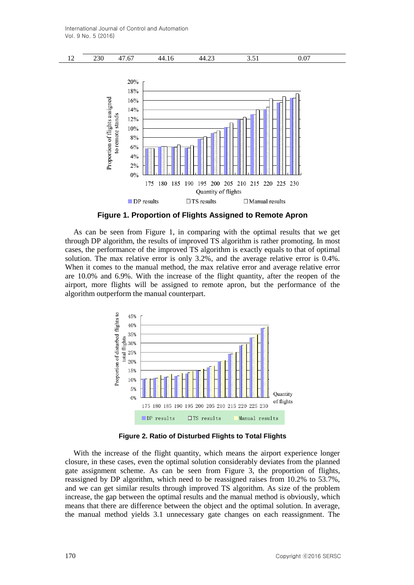

**Figure 1. Proportion of Flights Assigned to Remote Apron**

As can be seen from Figure 1, in comparing with the optimal results that we get through DP algorithm, the results of improved TS algorithm is rather promoting. In most cases, the performance of the improved TS algorithm is exactly equals to that of optimal solution. The max relative error is only 3.2%, and the average relative error is 0.4%. When it comes to the manual method, the max relative error and average relative error are 10.0% and 6.9%. With the increase of the flight quantity, after the reopen of the airport, more flights will be assigned to remote apron, but the performance of the algorithm outperform the manual counterpart.



**Figure 2. Ratio of Disturbed Flights to Total Flights**

With the increase of the flight quantity, which means the airport experience longer closure, in these cases, even the optimal solution considerably deviates from the planned gate assignment scheme. As can be seen from Figure 3, the proportion of flights, reassigned by DP algorithm, which need to be reassigned raises from 10.2% to 53.7%, and we can get similar results through improved TS algorithm. As size of the problem increase, the gap between the optimal results and the manual method is obviously, which means that there are difference between the object and the optimal solution. In average, the manual method yields 3.1 unnecessary gate changes on each reassignment. The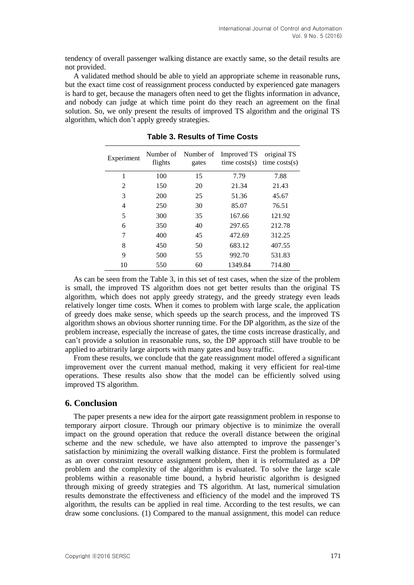tendency of overall passenger walking distance are exactly same, so the detail results are not provided.

A validated method should be able to yield an appropriate scheme in reasonable runs, but the exact time cost of reassignment process conducted by experienced gate managers is hard to get, because the managers often need to get the flights information in advance, and nobody can judge at which time point do they reach an agreement on the final solution. So, we only present the results of improved TS algorithm and the original TS algorithm, which don't apply greedy strategies.

| Experiment | Number of<br>flights | Number of<br>gates | <b>Improved TS</b><br>time $costs(s)$ | original TS<br>time $costs(s)$ |
|------------|----------------------|--------------------|---------------------------------------|--------------------------------|
| 1          | 100                  | 15                 | 7.79                                  | 7.88                           |
| 2          | 150                  | 20                 | 21.34                                 | 21.43                          |
| 3          | 200                  | 25                 | 51.36                                 | 45.67                          |
| 4          | 250                  | 30                 | 85.07                                 | 76.51                          |
| 5          | 300                  | 35                 | 167.66                                | 121.92                         |
| 6          | 350                  | 40                 | 297.65                                | 212.78                         |
| 7          | 400                  | 45                 | 472.69                                | 312.25                         |
| 8          | 450                  | 50                 | 683.12                                | 407.55                         |
| 9          | 500                  | 55                 | 992.70                                | 531.83                         |
| 10         | 550                  | 60                 | 1349.84                               | 714.80                         |

**Table 3. Results of Time Costs** 

As can be seen from the Table 3, in this set of test cases, when the size of the problem is small, the improved TS algorithm does not get better results than the original TS algorithm, which does not apply greedy strategy, and the greedy strategy even leads relatively longer time costs. When it comes to problem with large scale, the application of greedy does make sense, which speeds up the search process, and the improved TS algorithm shows an obvious shorter running time. For the DP algorithm, as the size of the problem increase, especially the increase of gates, the time costs increase drastically, and can't provide a solution in reasonable runs, so, the DP approach still have trouble to be applied to arbitrarily large airports with many gates and busy traffic.

From these results, we conclude that the gate reassignment model offered a significant improvement over the current manual method, making it very efficient for real-time operations. These results also show that the model can be efficiently solved using improved TS algorithm.

## **6. Conclusion**

The paper presents a new idea for the airport gate reassignment problem in response to temporary airport closure. Through our primary objective is to minimize the overall impact on the ground operation that reduce the overall distance between the original scheme and the new schedule, we have also attempted to improve the passenger's satisfaction by minimizing the overall walking distance. First the problem is formulated as an over constraint resource assignment problem, then it is reformulated as a DP problem and the complexity of the algorithm is evaluated. To solve the large scale problems within a reasonable time bound, a hybrid heuristic algorithm is designed through mixing of greedy strategies and TS algorithm. At last, numerical simulation results demonstrate the effectiveness and efficiency of the model and the improved TS algorithm, the results can be applied in real time. According to the test results, we can draw some conclusions. (1) Compared to the manual assignment, this model can reduce